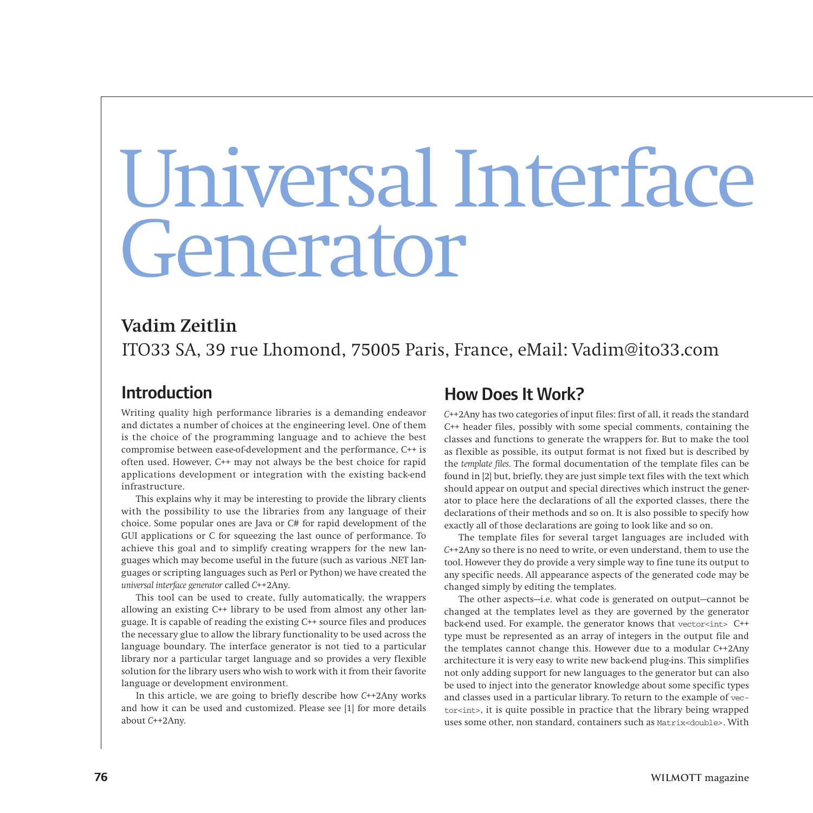# Universal Interface Generator

## **Vadim Zeitlin** ITO33 SA, 39 rue Lhomond, 75005 Paris, France, eMail: Vadim@ito33.com

#### Introduction

Writing quality high performance libraries is a demanding endeavor and dictates a number of choices at the engineering level. One of them is the choice of the programming language and to achieve the best compromise between ease-of-development and the performance, C++ is often used. However, C++ may not always be the best choice for rapid applications development or integration with the existing back-end infrastructure.

This explains why it may be interesting to provide the library clients with the possibility to use the libraries from any language of their choice. Some popular ones are Java or C# for rapid development of the GUI applications or C for squeezing the last ounce of performance. To achieve this goal and to simplify creating wrappers for the new languages which may become useful in the future (such as various .NET languages or scripting languages such as Perl or Python) we have created the *universal interface generator* called *C*++2Any.

This tool can be used to create, fully automatically, the wrappers allowing an existing C++ library to be used from almost any other language. It is capable of reading the existing C++ source files and produces the necessary glue to allow the library functionality to be used across the language boundary. The interface generator is not tied to a particular library nor a particular target language and so provides a very flexible solution for the library users who wish to work with it from their favorite language or development environment.

In this article, we are going to briefly describe how *C*++2Any works and how it can be used and customized. Please see [1] for more details about *C*++2Any.

#### How Does It Work?

*C*++2Any has two categories of input files: first of all, it reads the standard C++ header files, possibly with some special comments, containing the classes and functions to generate the wrappers for. But to make the tool as flexible as possible, its output format is not fixed but is described by the *template files*. The formal documentation of the template files can be found in [2] but, briefly, they are just simple text files with the text which should appear on output and special directives which instruct the generator to place here the declarations of all the exported classes, there the declarations of their methods and so on. It is also possible to specify how exactly all of those declarations are going to look like and so on.

The template files for several target languages are included with *C*++2Any so there is no need to write, or even understand, them to use the tool. However they do provide a very simple way to fine tune its output to any specific needs. All appearance aspects of the generated code may be changed simply by editing the templates.

The other aspects—i.e. what code is generated on output—cannot be changed at the templates level as they are governed by the generator back-end used. For example, the generator knows that vector<int> C++ type must be represented as an array of integers in the output file and the templates cannot change this. However due to a modular *C*++2Any architecture it is very easy to write new back-end plug-ins. This simplifies not only adding support for new languages to the generator but can also be used to inject into the generator knowledge about some specific types and classes used in a particular library. To return to the example of vector<int>, it is quite possible in practice that the library being wrapped uses some other, non standard, containers such as Matrix<double>. With